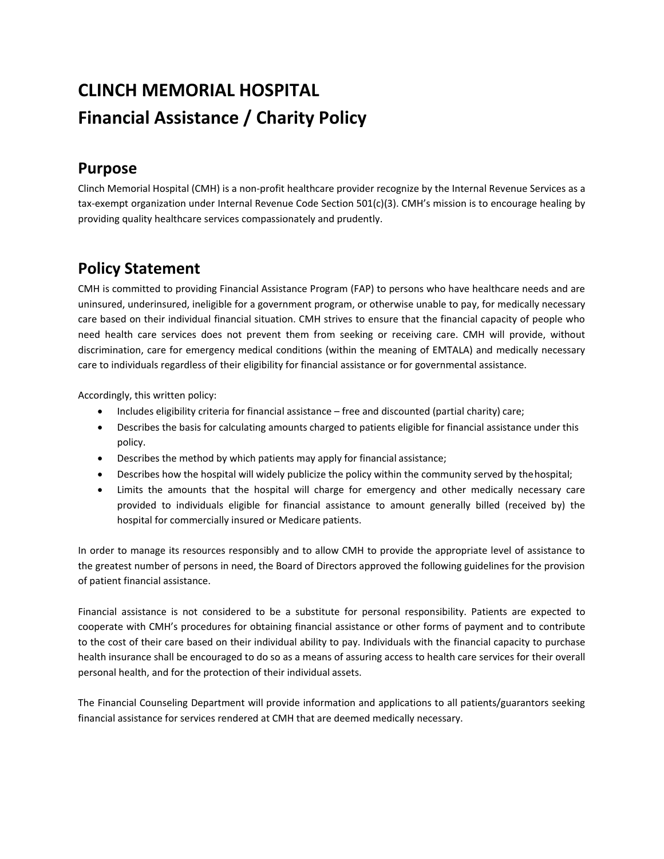# **CLINCH MEMORIAL HOSPITAL Financial Assistance / Charity Policy**

### **Purpose**

Clinch Memorial Hospital (CMH) is a non-profit healthcare provider recognize by the Internal Revenue Services as a tax-exempt organization under Internal Revenue Code Section 501(c)(3). CMH's mission is to encourage healing by providing quality healthcare services compassionately and prudently.

## **Policy Statement**

CMH is committed to providing Financial Assistance Program (FAP) to persons who have healthcare needs and are uninsured, underinsured, ineligible for a government program, or otherwise unable to pay, for medically necessary care based on their individual financial situation. CMH strives to ensure that the financial capacity of people who need health care services does not prevent them from seeking or receiving care. CMH will provide, without discrimination, care for emergency medical conditions (within the meaning of EMTALA) and medically necessary care to individuals regardless of their eligibility for financial assistance or for governmental assistance.

Accordingly, this written policy:

- Includes eligibility criteria for financial assistance free and discounted (partial charity) care;
- Describes the basis for calculating amounts charged to patients eligible for financial assistance under this policy.
- Describes the method by which patients may apply for financial assistance;
- Describes how the hospital will widely publicize the policy within the community served by thehospital;
- Limits the amounts that the hospital will charge for emergency and other medically necessary care provided to individuals eligible for financial assistance to amount generally billed (received by) the hospital for commercially insured or Medicare patients.

In order to manage its resources responsibly and to allow CMH to provide the appropriate level of assistance to the greatest number of persons in need, the Board of Directors approved the following guidelines for the provision of patient financial assistance.

Financial assistance is not considered to be a substitute for personal responsibility. Patients are expected to cooperate with CMH's procedures for obtaining financial assistance or other forms of payment and to contribute to the cost of their care based on their individual ability to pay. Individuals with the financial capacity to purchase health insurance shall be encouraged to do so as a means of assuring access to health care services for their overall personal health, and for the protection of their individual assets.

The Financial Counseling Department will provide information and applications to all patients/guarantors seeking financial assistance for services rendered at CMH that are deemed medically necessary.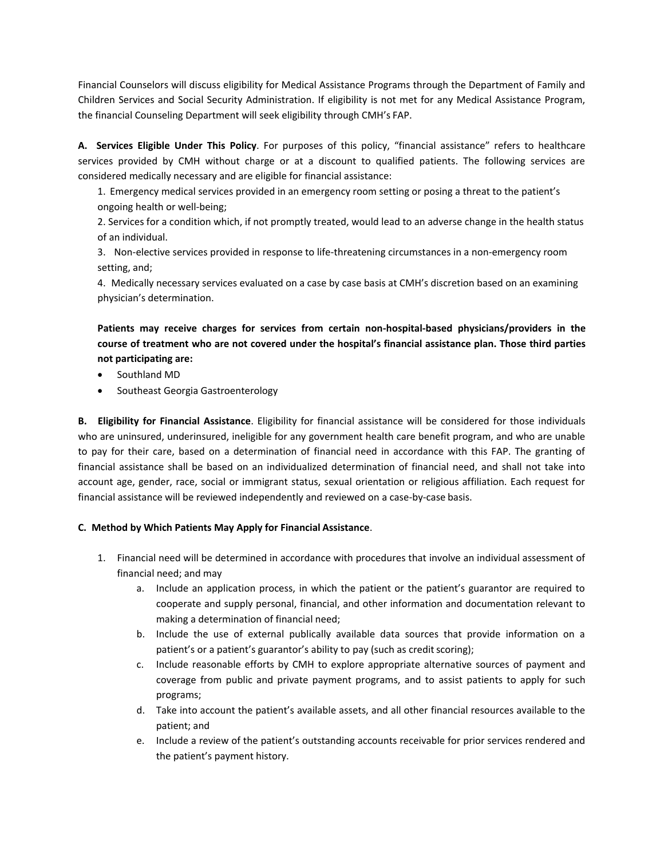Financial Counselors will discuss eligibility for Medical Assistance Programs through the Department of Family and Children Services and Social Security Administration. If eligibility is not met for any Medical Assistance Program, the financial Counseling Department will seek eligibility through CMH's FAP.

**A. Services Eligible Under This Policy**. For purposes of this policy, "financial assistance" refers to healthcare services provided by CMH without charge or at a discount to qualified patients. The following services are considered medically necessary and are eligible for financial assistance:

1. Emergency medical services provided in an emergency room setting or posing a threat to the patient's ongoing health or well-being;

2. Services for a condition which, if not promptly treated, would lead to an adverse change in the health status of an individual.

3. Non-elective services provided in response to life-threatening circumstances in a non-emergency room setting, and;

4. Medically necessary services evaluated on a case by case basis at CMH's discretion based on an examining physician's determination.

### **Patients may receive charges for services from certain non-hospital-based physicians/providers in the course of treatment who are not covered under the hospital's financial assistance plan. Those third parties not participating are:**

- Southland MD
- Southeast Georgia Gastroenterology

**B. Eligibility for Financial Assistance**. Eligibility for financial assistance will be considered for those individuals who are uninsured, underinsured, ineligible for any government health care benefit program, and who are unable to pay for their care, based on a determination of financial need in accordance with this FAP. The granting of financial assistance shall be based on an individualized determination of financial need, and shall not take into account age, gender, race, social or immigrant status, sexual orientation or religious affiliation. Each request for financial assistance will be reviewed independently and reviewed on a case-by-case basis.

### **C. Method by Which Patients May Apply for Financial Assistance**.

- 1. Financial need will be determined in accordance with procedures that involve an individual assessment of financial need; and may
	- a. Include an application process, in which the patient or the patient's guarantor are required to cooperate and supply personal, financial, and other information and documentation relevant to making a determination of financial need;
	- b. Include the use of external publically available data sources that provide information on a patient's or a patient's guarantor's ability to pay (such as credit scoring);
	- c. Include reasonable efforts by CMH to explore appropriate alternative sources of payment and coverage from public and private payment programs, and to assist patients to apply for such programs;
	- d. Take into account the patient's available assets, and all other financial resources available to the patient; and
	- e. Include a review of the patient's outstanding accounts receivable for prior services rendered and the patient's payment history.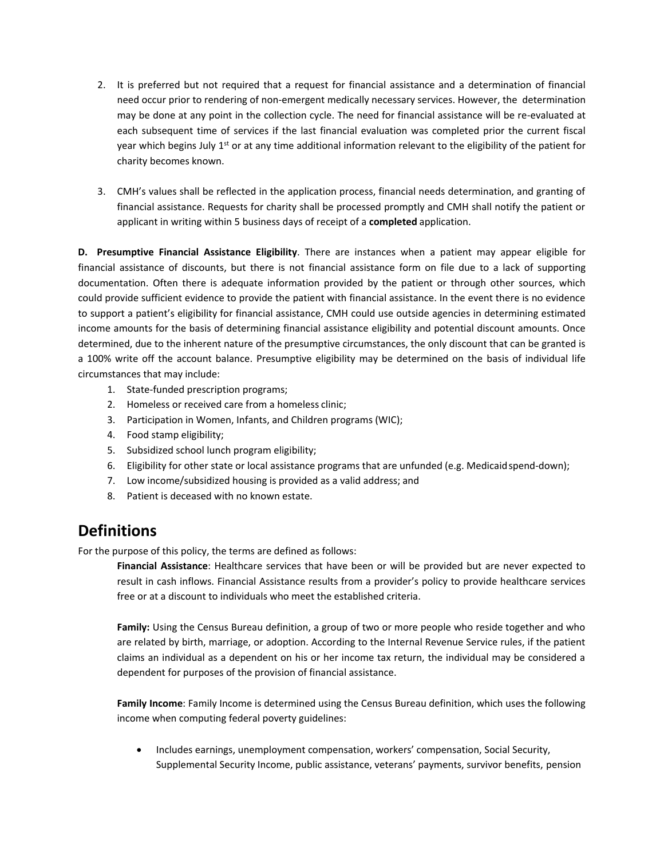- 2. It is preferred but not required that a request for financial assistance and a determination of financial need occur prior to rendering of non-emergent medically necessary services. However, the determination may be done at any point in the collection cycle. The need for financial assistance will be re-evaluated at each subsequent time of services if the last financial evaluation was completed prior the current fiscal year which begins July  $1<sup>st</sup>$  or at any time additional information relevant to the eligibility of the patient for charity becomes known.
- 3. CMH's values shall be reflected in the application process, financial needs determination, and granting of financial assistance. Requests for charity shall be processed promptly and CMH shall notify the patient or applicant in writing within 5 business days of receipt of a **completed** application.

**D. Presumptive Financial Assistance Eligibility**. There are instances when a patient may appear eligible for financial assistance of discounts, but there is not financial assistance form on file due to a lack of supporting documentation. Often there is adequate information provided by the patient or through other sources, which could provide sufficient evidence to provide the patient with financial assistance. In the event there is no evidence to support a patient's eligibility for financial assistance, CMH could use outside agencies in determining estimated income amounts for the basis of determining financial assistance eligibility and potential discount amounts. Once determined, due to the inherent nature of the presumptive circumstances, the only discount that can be granted is a 100% write off the account balance. Presumptive eligibility may be determined on the basis of individual life circumstances that may include:

- 1. State-funded prescription programs;
- 2. Homeless or received care from a homeless clinic;
- 3. Participation in Women, Infants, and Children programs (WIC);
- 4. Food stamp eligibility;
- 5. Subsidized school lunch program eligibility;
- 6. Eligibility for other state or local assistance programs that are unfunded (e.g. Medicaidspend-down);
- 7. Low income/subsidized housing is provided as a valid address; and
- 8. Patient is deceased with no known estate.

### **Definitions**

For the purpose of this policy, the terms are defined as follows:

**Financial Assistance**: Healthcare services that have been or will be provided but are never expected to result in cash inflows. Financial Assistance results from a provider's policy to provide healthcare services free or at a discount to individuals who meet the established criteria.

**Family:** Using the Census Bureau definition, a group of two or more people who reside together and who are related by birth, marriage, or adoption. According to the Internal Revenue Service rules, if the patient claims an individual as a dependent on his or her income tax return, the individual may be considered a dependent for purposes of the provision of financial assistance.

**Family Income**: Family Income is determined using the Census Bureau definition, which uses the following income when computing federal poverty guidelines:

• Includes earnings, unemployment compensation, workers' compensation, Social Security, Supplemental Security Income, public assistance, veterans' payments, survivor benefits, pension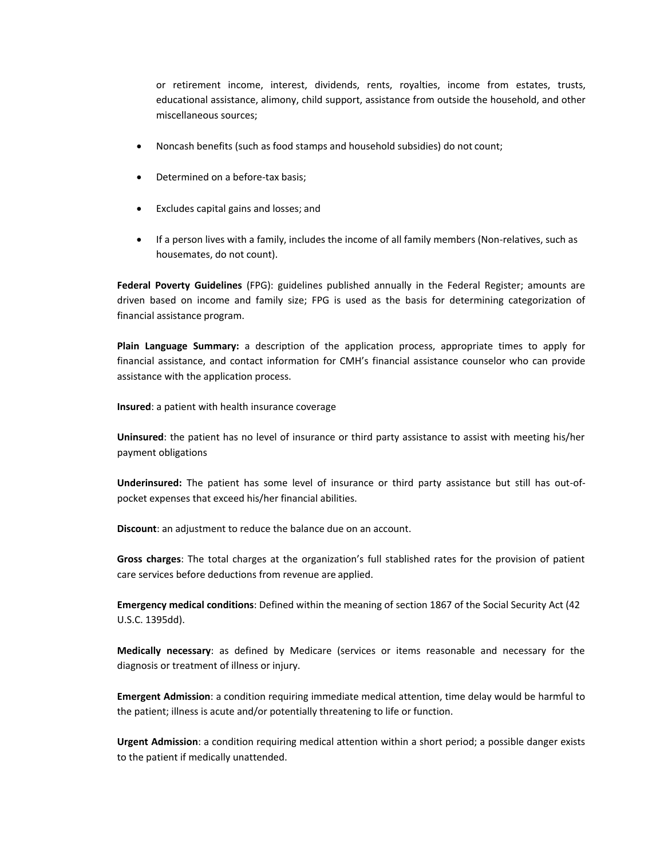or retirement income, interest, dividends, rents, royalties, income from estates, trusts, educational assistance, alimony, child support, assistance from outside the household, and other miscellaneous sources;

- Noncash benefits (such as food stamps and household subsidies) do not count;
- Determined on a before-tax basis;
- Excludes capital gains and losses; and
- If a person lives with a family, includes the income of all family members (Non-relatives, such as housemates, do not count).

**Federal Poverty Guidelines** (FPG): guidelines published annually in the Federal Register; amounts are driven based on income and family size; FPG is used as the basis for determining categorization of financial assistance program.

**Plain Language Summary:** a description of the application process, appropriate times to apply for financial assistance, and contact information for CMH's financial assistance counselor who can provide assistance with the application process.

**Insured**: a patient with health insurance coverage

**Uninsured**: the patient has no level of insurance or third party assistance to assist with meeting his/her payment obligations

**Underinsured:** The patient has some level of insurance or third party assistance but still has out-ofpocket expenses that exceed his/her financial abilities.

**Discount**: an adjustment to reduce the balance due on an account.

**Gross charges**: The total charges at the organization's full stablished rates for the provision of patient care services before deductions from revenue are applied.

**Emergency medical conditions**: Defined within the meaning of section 1867 of the Social Security Act (42 U.S.C. 1395dd).

**Medically necessary**: as defined by Medicare (services or items reasonable and necessary for the diagnosis or treatment of illness or injury.

**Emergent Admission**: a condition requiring immediate medical attention, time delay would be harmful to the patient; illness is acute and/or potentially threatening to life or function.

**Urgent Admission**: a condition requiring medical attention within a short period; a possible danger exists to the patient if medically unattended.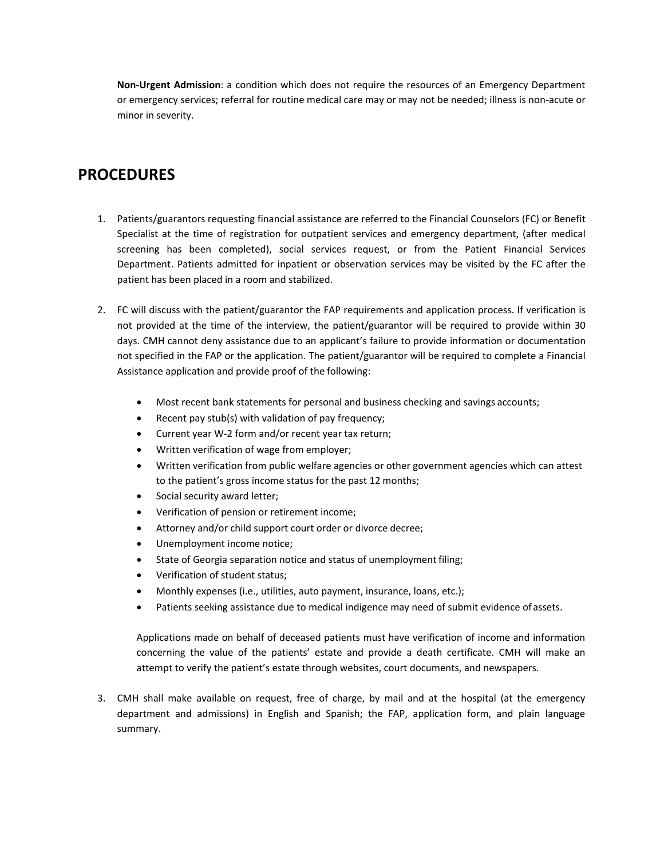**Non-Urgent Admission**: a condition which does not require the resources of an Emergency Department or emergency services; referral for routine medical care may or may not be needed; illness is non-acute or minor in severity.

### **PROCEDURES**

- 1. Patients/guarantors requesting financial assistance are referred to the Financial Counselors (FC) or Benefit Specialist at the time of registration for outpatient services and emergency department, (after medical screening has been completed), social services request, or from the Patient Financial Services Department. Patients admitted for inpatient or observation services may be visited by the FC after the patient has been placed in a room and stabilized.
- 2. FC will discuss with the patient/guarantor the FAP requirements and application process. If verification is not provided at the time of the interview, the patient/guarantor will be required to provide within 30 days. CMH cannot deny assistance due to an applicant's failure to provide information or documentation not specified in the FAP or the application. The patient/guarantor will be required to complete a Financial Assistance application and provide proof of the following:
	- Most recent bank statements for personal and business checking and savings accounts;
	- Recent pay stub(s) with validation of pay frequency;
	- Current year W-2 form and/or recent year tax return;
	- Written verification of wage from employer;
	- Written verification from public welfare agencies or other government agencies which can attest to the patient's gross income status for the past 12 months;
	- Social security award letter;
	- Verification of pension or retirement income;
	- Attorney and/or child support court order or divorce decree;
	- Unemployment income notice;
	- State of Georgia separation notice and status of unemployment filing;
	- Verification of student status;
	- Monthly expenses (i.e., utilities, auto payment, insurance, loans, etc.);
	- Patients seeking assistance due to medical indigence may need of submit evidence of assets.

Applications made on behalf of deceased patients must have verification of income and information concerning the value of the patients' estate and provide a death certificate. CMH will make an attempt to verify the patient's estate through websites, court documents, and newspapers.

3. CMH shall make available on request, free of charge, by mail and at the hospital (at the emergency department and admissions) in English and Spanish; the FAP, application form, and plain language summary.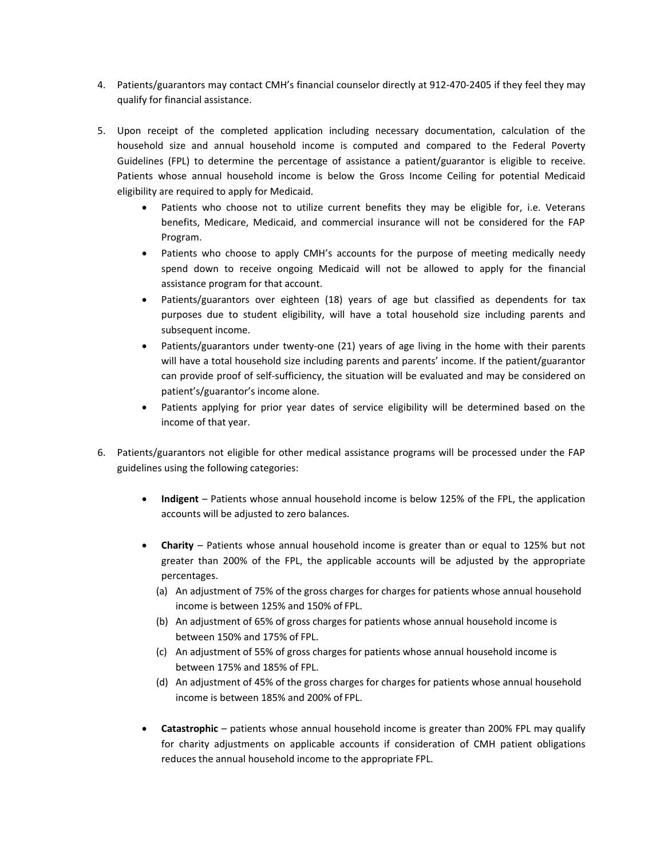- 4. Patients/guarantors may contact CMH's financial counselor directly at 912-470-2405 if they feel they may qualify for financial assistance.
- 5. Upon receipt of the completed application including necessary documentation, calculation of the household size and annual household income is computed and compared to the Federal Poverty Guidelines (FPL) to determine the percentage of assistance a patient/guarantor is eligible to receive. Patients whose annual household income is below the Gross Income Ceiling for potential Medicaid eligibility are required to apply for Medicaid.
	- Patients who choose not to utilize current benefits they may be eligible for, i.e. Veterans benefits, Medicare, Medicaid, and commercial insurance will not be considered for the FAP Program.
	- Patients who choose to apply CMH's accounts for the purpose of meeting medically needy spend down to receive ongoing Medicaid will not be allowed to apply for the financial assistance program for that account.
	- Patients/guarantors over eighteen (18) years of age but classified as dependents for tax purposes due to student eligibility, will have a total household size including parents and subsequent income.
	- Patients/guarantors under twenty-one (21) years of age living in the home with their parents will have a total household size including parents and parents' income. If the patient/guarantor can provide proof of self-sufficiency, the situation will be evaluated and may be considered on patient's/guarantor's income alone.
	- Patients applying for prior year dates of service eligibility will be determined based on the income of that year.
- 6. Patients/guarantors not eligible for other medical assistance programs will be processed under the FAP guidelines using the following categories:
	- **Indigent**  Patients whose annual household income is below 125% of the FPL, the application accounts will be adjusted to zero balances.
	- **Charity**  Patients whose annual household income is greater than or equal to 125% but not greater than 200% of the FPL, the applicable accounts will be adjusted by the appropriate percentages.
		- (a) An adjustment of 75% of the gross charges for charges for patients whose annual household income is between 125% and 150% of FPL.
		- (b) An adjustment of 65% of gross charges for patients whose annual household income is between 150% and 175% of FPL.
		- (c) An adjustment of 55% of gross charges for patients whose annual household income is between 175% and 185% of FPL.
		- (d) An adjustment of 45% of the gross charges for charges for patients whose annual household income is between 185% and 200% of FPL.
	- **Catastrophic** patients whose annual household income is greater than 200% FPL may qualify for charity adjustments on applicable accounts if consideration of CMH patient obligations reduces the annual household income to the appropriate FPL.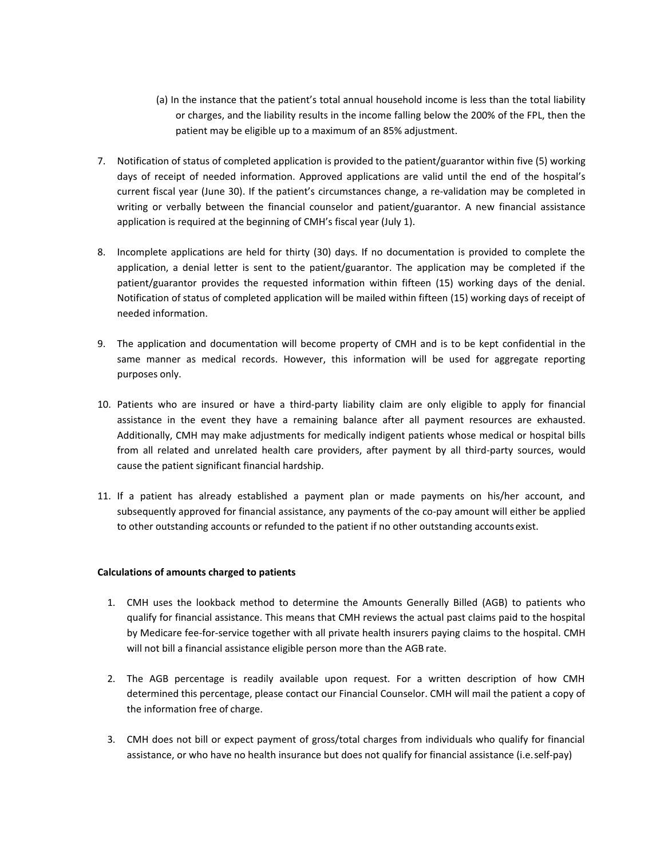- (a) In the instance that the patient's total annual household income is less than the total liability or charges, and the liability results in the income falling below the 200% of the FPL, then the patient may be eligible up to a maximum of an 85% adjustment.
- 7. Notification of status of completed application is provided to the patient/guarantor within five (5) working days of receipt of needed information. Approved applications are valid until the end of the hospital's current fiscal year (June 30). If the patient's circumstances change, a re-validation may be completed in writing or verbally between the financial counselor and patient/guarantor. A new financial assistance application is required at the beginning of CMH's fiscal year (July 1).
- 8. Incomplete applications are held for thirty (30) days. If no documentation is provided to complete the application, a denial letter is sent to the patient/guarantor. The application may be completed if the patient/guarantor provides the requested information within fifteen (15) working days of the denial. Notification of status of completed application will be mailed within fifteen (15) working days of receipt of needed information.
- 9. The application and documentation will become property of CMH and is to be kept confidential in the same manner as medical records. However, this information will be used for aggregate reporting purposes only.
- 10. Patients who are insured or have a third-party liability claim are only eligible to apply for financial assistance in the event they have a remaining balance after all payment resources are exhausted. Additionally, CMH may make adjustments for medically indigent patients whose medical or hospital bills from all related and unrelated health care providers, after payment by all third-party sources, would cause the patient significant financial hardship.
- 11. If a patient has already established a payment plan or made payments on his/her account, and subsequently approved for financial assistance, any payments of the co-pay amount will either be applied to other outstanding accounts or refunded to the patient if no other outstanding accounts exist.

### **Calculations of amounts charged to patients**

- 1. CMH uses the lookback method to determine the Amounts Generally Billed (AGB) to patients who qualify for financial assistance. This means that CMH reviews the actual past claims paid to the hospital by Medicare fee-for-service together with all private health insurers paying claims to the hospital. CMH will not bill a financial assistance eligible person more than the AGB rate.
- 2. The AGB percentage is readily available upon request. For a written description of how CMH determined this percentage, please contact our Financial Counselor. CMH will mail the patient a copy of the information free of charge.
- 3. CMH does not bill or expect payment of gross/total charges from individuals who qualify for financial assistance, or who have no health insurance but does not qualify for financial assistance (i.e.self-pay)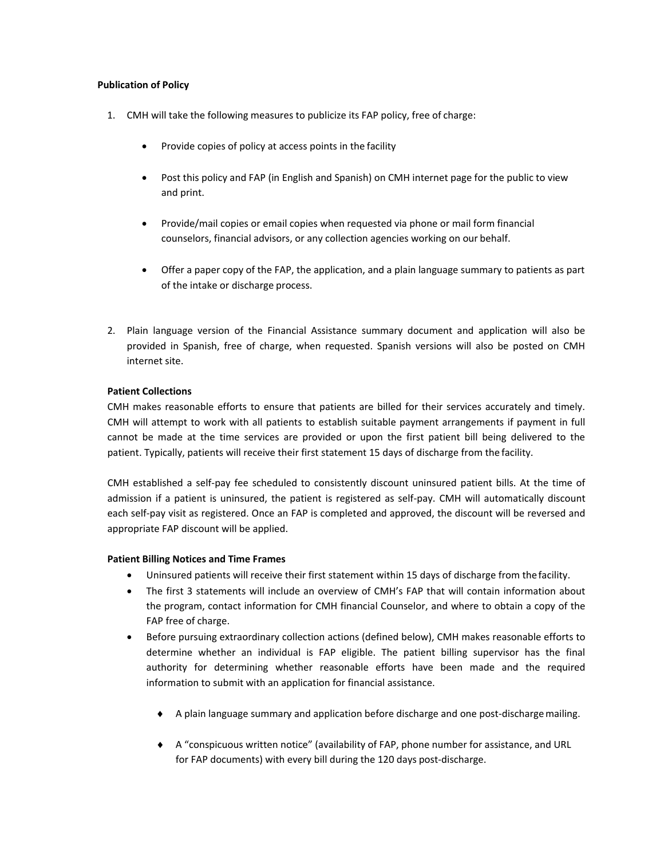#### **Publication of Policy**

- 1. CMH will take the following measures to publicize its FAP policy, free of charge:
	- Provide copies of policy at access points in the facility
	- Post this policy and FAP (in English and Spanish) on CMH internet page for the public to view and print.
	- Provide/mail copies or email copies when requested via phone or mail form financial counselors, financial advisors, or any collection agencies working on our behalf.
	- Offer a paper copy of the FAP, the application, and a plain language summary to patients as part of the intake or discharge process.
- 2. Plain language version of the Financial Assistance summary document and application will also be provided in Spanish, free of charge, when requested. Spanish versions will also be posted on CMH internet site.

### **Patient Collections**

CMH makes reasonable efforts to ensure that patients are billed for their services accurately and timely. CMH will attempt to work with all patients to establish suitable payment arrangements if payment in full cannot be made at the time services are provided or upon the first patient bill being delivered to the patient. Typically, patients will receive their first statement 15 days of discharge from the facility.

CMH established a self-pay fee scheduled to consistently discount uninsured patient bills. At the time of admission if a patient is uninsured, the patient is registered as self-pay. CMH will automatically discount each self-pay visit as registered. Once an FAP is completed and approved, the discount will be reversed and appropriate FAP discount will be applied.

#### **Patient Billing Notices and Time Frames**

- Uninsured patients will receive their first statement within 15 days of discharge from thefacility.
- The first 3 statements will include an overview of CMH's FAP that will contain information about the program, contact information for CMH financial Counselor, and where to obtain a copy of the FAP free of charge.
- Before pursuing extraordinary collection actions (defined below), CMH makes reasonable efforts to determine whether an individual is FAP eligible. The patient billing supervisor has the final authority for determining whether reasonable efforts have been made and the required information to submit with an application for financial assistance.
	- A plain language summary and application before discharge and one post-dischargemailing.
	- A "conspicuous written notice" (availability of FAP, phone number for assistance, and URL for FAP documents) with every bill during the 120 days post-discharge.